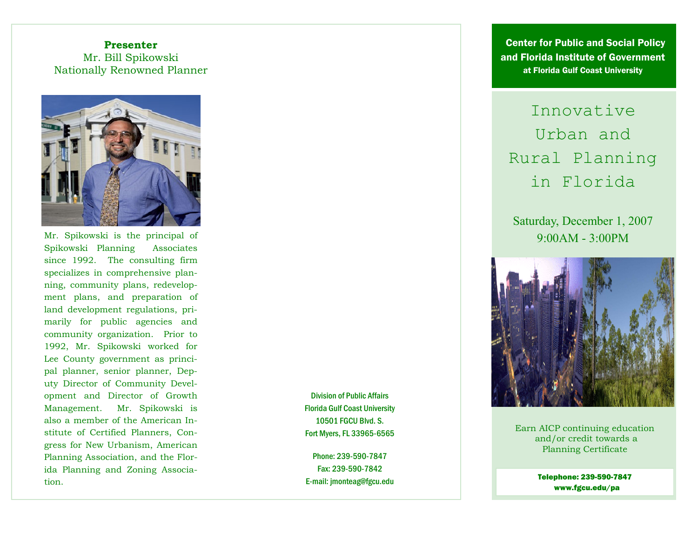## **Presenter** Mr. Bill Spikowski Nationally Renowned Planner



Mr. Spikowski is the principal of 9:00AM - 3:00PM Spikowski Planning Associates Spikowski Planning since 1992. The consulting firm specializes in comprehensive planning, community plans, redevelopment plans, and preparation of land development regulations, primarily for public agencies and community organization. Prior to 1992, Mr. Spikowski worked for Lee County government as principal planner, senior planner, Deputy Director of Community Development and Director of Growth Management. Mr. Spikowski is also a member of the American Institute of Certified Planners, Congress for New Urbanism, American Planning Association, and the Florida Planning and Zoning Association.

Division of Public Affairs Florida Gulf Coast University 10501 FGCU Blvd. S. Fort Myers, FL 33965-6565

Phone: 239-590-7847 Fax: 239-590-7842 E-mail: jmonteag@fgcu.edu

 Center for Public and Social Policy and Florida Institute of Government at Florida Gulf Coast University

Innovative Urban and Rural Planning in Florida

Saturday, December 1, 2007



Earn AICP continuing education and/or credit towards a Planning Certificate

> Telephone: 239-590-7847 www.fgcu.edu/pa